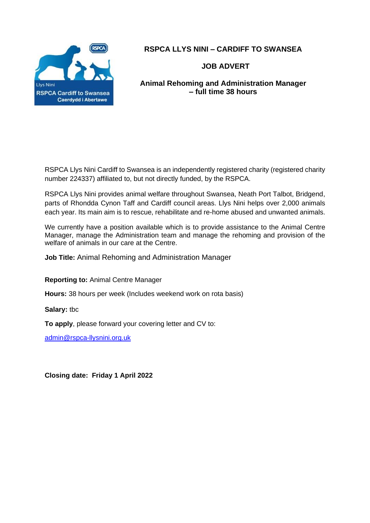

**RSPCA LLYS NINI – CARDIFF TO SWANSEA**

 **JOB ADVERT**

**Animal Rehoming and Administration Manager – full time 38 hours**

RSPCA Llys Nini Cardiff to Swansea is an independently registered charity (registered charity number 224337) affiliated to, but not directly funded, by the RSPCA.

RSPCA Llys Nini provides animal welfare throughout Swansea, Neath Port Talbot, Bridgend, parts of Rhondda Cynon Taff and Cardiff council areas. Llys Nini helps over 2,000 animals each year. Its main aim is to rescue, rehabilitate and re-home abused and unwanted animals.

We currently have a position available which is to provide assistance to the Animal Centre Manager, manage the Administration team and manage the rehoming and provision of the welfare of animals in our care at the Centre.

**Job Title:** Animal Rehoming and Administration Manager

**Reporting to:** Animal Centre Manager

**Hours:** 38 hours per week (Includes weekend work on rota basis)

**Salary:** tbc

**To apply**, please forward your covering letter and CV to:

[admin@rspca-llysnini.org.uk](mailto:admin@rspca-llysnini.org.uk)

**Closing date: Friday 1 April 2022**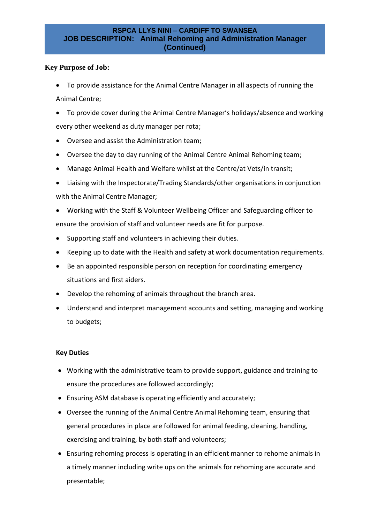## **RSPCA LLYS NINI – CARDIFF TO SWANSEA JOB DESCRIPTION: Animal Rehoming and Administration Manager (Continued)**

# **Key Purpose of Job:**

- To provide assistance for the Animal Centre Manager in all aspects of running the Animal Centre;
- To provide cover during the Animal Centre Manager's holidays/absence and working every other weekend as duty manager per rota;
- Oversee and assist the Administration team;
- Oversee the day to day running of the Animal Centre Animal Rehoming team;
- Manage Animal Health and Welfare whilst at the Centre/at Vets/in transit;
- Liaising with the Inspectorate/Trading Standards/other organisations in conjunction with the Animal Centre Manager;
- Working with the Staff & Volunteer Wellbeing Officer and Safeguarding officer to ensure the provision of staff and volunteer needs are fit for purpose.
- Supporting staff and volunteers in achieving their duties.
- Keeping up to date with the Health and safety at work documentation requirements.
- Be an appointed responsible person on reception for coordinating emergency situations and first aiders.
- Develop the rehoming of animals throughout the branch area.
- Understand and interpret management accounts and setting, managing and working to budgets;

# **Key Duties**

- Working with the administrative team to provide support, guidance and training to ensure the procedures are followed accordingly;
- Ensuring ASM database is operating efficiently and accurately;
- Oversee the running of the Animal Centre Animal Rehoming team, ensuring that general procedures in place are followed for animal feeding, cleaning, handling, exercising and training, by both staff and volunteers;
- Ensuring rehoming process is operating in an efficient manner to rehome animals in a timely manner including write ups on the animals for rehoming are accurate and presentable;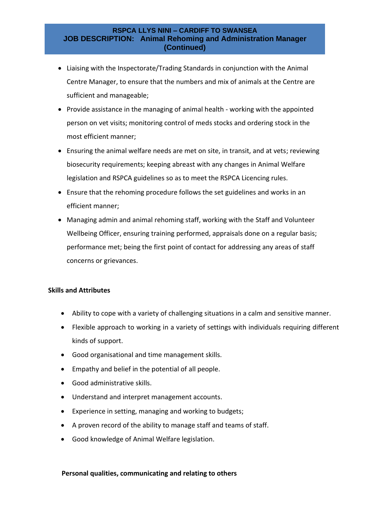### **RSPCA LLYS NINI – CARDIFF TO SWANSEA JOB DESCRIPTION: Animal Rehoming and Administration Manager (Continued)**

- Liaising with the Inspectorate/Trading Standards in conjunction with the Animal Centre Manager, to ensure that the numbers and mix of animals at the Centre are sufficient and manageable;
- Provide assistance in the managing of animal health working with the appointed person on vet visits; monitoring control of meds stocks and ordering stock in the most efficient manner;
- Ensuring the animal welfare needs are met on site, in transit, and at vets; reviewing biosecurity requirements; keeping abreast with any changes in Animal Welfare legislation and RSPCA guidelines so as to meet the RSPCA Licencing rules.
- Ensure that the rehoming procedure follows the set guidelines and works in an efficient manner;
- Managing admin and animal rehoming staff, working with the Staff and Volunteer Wellbeing Officer, ensuring training performed, appraisals done on a regular basis; performance met; being the first point of contact for addressing any areas of staff concerns or grievances.

### **Skills and Attributes**

- Ability to cope with a variety of challenging situations in a calm and sensitive manner.
- Flexible approach to working in a variety of settings with individuals requiring different kinds of support.
- Good organisational and time management skills.
- Empathy and belief in the potential of all people.
- Good administrative skills.
- Understand and interpret management accounts.
- Experience in setting, managing and working to budgets;
- A proven record of the ability to manage staff and teams of staff.
- Good knowledge of Animal Welfare legislation.

## **Personal qualities, communicating and relating to others**